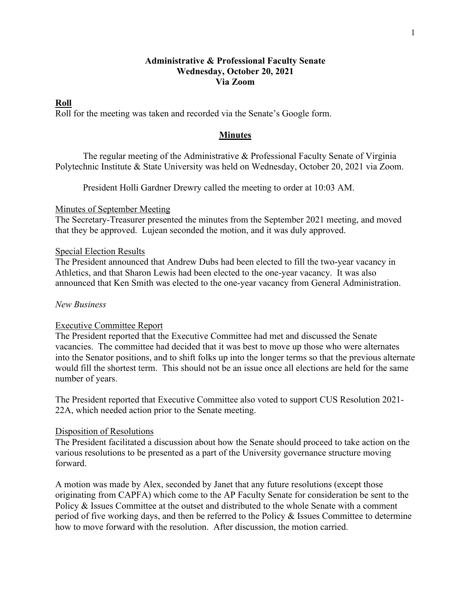# **Administrative & Professional Faculty Senate Wednesday, October 20, 2021 Via Zoom**

## **Roll**

Roll for the meeting was taken and recorded via the Senate's Google form.

## **Minutes**

The regular meeting of the Administrative & Professional Faculty Senate of Virginia Polytechnic Institute & State University was held on Wednesday, October 20, 2021 via Zoom.

President Holli Gardner Drewry called the meeting to order at 10:03 AM.

## Minutes of September Meeting

The Secretary-Treasurer presented the minutes from the September 2021 meeting, and moved that they be approved. Lujean seconded the motion, and it was duly approved.

## Special Election Results

The President announced that Andrew Dubs had been elected to fill the two-year vacancy in Athletics, and that Sharon Lewis had been elected to the one-year vacancy. It was also announced that Ken Smith was elected to the one-year vacancy from General Administration.

## *New Business*

## Executive Committee Report

The President reported that the Executive Committee had met and discussed the Senate vacancies. The committee had decided that it was best to move up those who were alternates into the Senator positions, and to shift folks up into the longer terms so that the previous alternate would fill the shortest term. This should not be an issue once all elections are held for the same number of years.

The President reported that Executive Committee also voted to support CUS Resolution 2021- 22A, which needed action prior to the Senate meeting.

## Disposition of Resolutions

The President facilitated a discussion about how the Senate should proceed to take action on the various resolutions to be presented as a part of the University governance structure moving forward.

A motion was made by Alex, seconded by Janet that any future resolutions (except those originating from CAPFA) which come to the AP Faculty Senate for consideration be sent to the Policy & Issues Committee at the outset and distributed to the whole Senate with a comment period of five working days, and then be referred to the Policy & Issues Committee to determine how to move forward with the resolution. After discussion, the motion carried.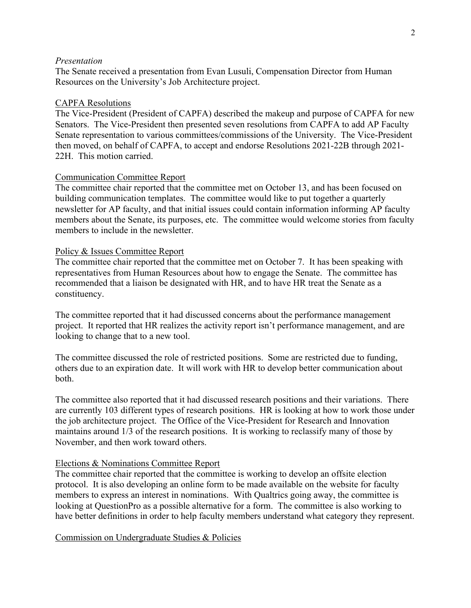### *Presentation*

The Senate received a presentation from Evan Lusuli, Compensation Director from Human Resources on the University's Job Architecture project.

#### CAPFA Resolutions

The Vice-President (President of CAPFA) described the makeup and purpose of CAPFA for new Senators. The Vice-President then presented seven resolutions from CAPFA to add AP Faculty Senate representation to various committees/commissions of the University. The Vice-President then moved, on behalf of CAPFA, to accept and endorse Resolutions 2021-22B through 2021- 22H. This motion carried.

#### Communication Committee Report

The committee chair reported that the committee met on October 13, and has been focused on building communication templates. The committee would like to put together a quarterly newsletter for AP faculty, and that initial issues could contain information informing AP faculty members about the Senate, its purposes, etc. The committee would welcome stories from faculty members to include in the newsletter.

#### Policy & Issues Committee Report

The committee chair reported that the committee met on October 7. It has been speaking with representatives from Human Resources about how to engage the Senate. The committee has recommended that a liaison be designated with HR, and to have HR treat the Senate as a constituency.

The committee reported that it had discussed concerns about the performance management project. It reported that HR realizes the activity report isn't performance management, and are looking to change that to a new tool.

The committee discussed the role of restricted positions. Some are restricted due to funding, others due to an expiration date. It will work with HR to develop better communication about both.

The committee also reported that it had discussed research positions and their variations. There are currently 103 different types of research positions. HR is looking at how to work those under the job architecture project. The Office of the Vice-President for Research and Innovation maintains around 1/3 of the research positions. It is working to reclassify many of those by November, and then work toward others.

#### Elections & Nominations Committee Report

The committee chair reported that the committee is working to develop an offsite election protocol. It is also developing an online form to be made available on the website for faculty members to express an interest in nominations. With Qualtrics going away, the committee is looking at QuestionPro as a possible alternative for a form. The committee is also working to have better definitions in order to help faculty members understand what category they represent.

Commission on Undergraduate Studies & Policies